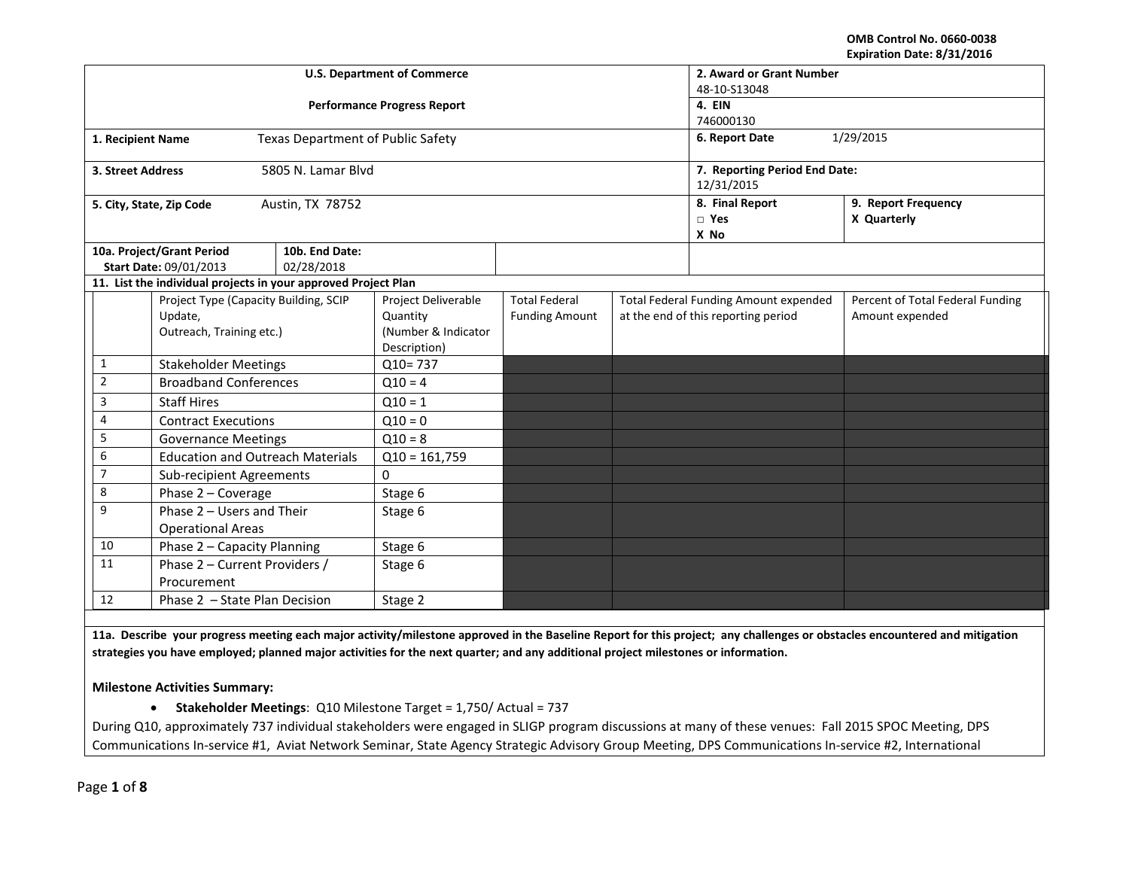#### **OMB Control No. 0660-0038 Expiration Date: 8/31/2016**

|                                     |                                                                | <b>U.S. Department of Commerce</b> | 2. Award or Grant Number |                       |  |                                       |                                  |  |  |
|-------------------------------------|----------------------------------------------------------------|------------------------------------|--------------------------|-----------------------|--|---------------------------------------|----------------------------------|--|--|
|                                     |                                                                |                                    | 48-10-S13048             |                       |  |                                       |                                  |  |  |
|                                     |                                                                | <b>Performance Progress Report</b> | 4. EIN                   |                       |  |                                       |                                  |  |  |
|                                     |                                                                |                                    | 746000130<br>1/29/2015   |                       |  |                                       |                                  |  |  |
| 1. Recipient Name                   |                                                                | Texas Department of Public Safety  |                          |                       |  | 6. Report Date                        |                                  |  |  |
| 3. Street Address                   |                                                                | 5805 N. Lamar Blvd                 |                          |                       |  | 7. Reporting Period End Date:         |                                  |  |  |
|                                     |                                                                |                                    |                          |                       |  | 12/31/2015                            |                                  |  |  |
|                                     | 5. City, State, Zip Code                                       | Austin, TX 78752                   |                          |                       |  | 8. Final Report                       | 9. Report Frequency              |  |  |
|                                     |                                                                |                                    |                          |                       |  | $\square$ Yes                         | X Quarterly                      |  |  |
|                                     |                                                                |                                    |                          |                       |  | X No                                  |                                  |  |  |
|                                     | 10a. Project/Grant Period                                      | 10b. End Date:                     |                          |                       |  |                                       |                                  |  |  |
|                                     | Start Date: 09/01/2013                                         | 02/28/2018                         |                          |                       |  |                                       |                                  |  |  |
|                                     | 11. List the individual projects in your approved Project Plan |                                    |                          |                       |  |                                       |                                  |  |  |
|                                     | Project Type (Capacity Building, SCIP                          |                                    | Project Deliverable      | <b>Total Federal</b>  |  | Total Federal Funding Amount expended | Percent of Total Federal Funding |  |  |
|                                     | Update,                                                        |                                    | Quantity                 | <b>Funding Amount</b> |  | at the end of this reporting period   | Amount expended                  |  |  |
|                                     | Outreach, Training etc.)                                       |                                    | (Number & Indicator      |                       |  |                                       |                                  |  |  |
|                                     |                                                                | Description)                       |                          |                       |  |                                       |                                  |  |  |
| $\mathbf{1}$                        | <b>Stakeholder Meetings</b>                                    |                                    | $Q10 = 737$              |                       |  |                                       |                                  |  |  |
| $\overline{2}$                      | <b>Broadband Conferences</b>                                   |                                    | $Q10 = 4$                |                       |  |                                       |                                  |  |  |
| 3                                   | <b>Staff Hires</b>                                             |                                    | $Q10 = 1$                |                       |  |                                       |                                  |  |  |
| 4                                   | <b>Contract Executions</b>                                     |                                    | $Q10 = 0$                |                       |  |                                       |                                  |  |  |
| 5                                   | <b>Governance Meetings</b>                                     |                                    | $Q10 = 8$                |                       |  |                                       |                                  |  |  |
| 6                                   | <b>Education and Outreach Materials</b>                        |                                    | $Q10 = 161,759$          |                       |  |                                       |                                  |  |  |
| $\overline{7}$                      | Sub-recipient Agreements                                       |                                    | $\Omega$                 |                       |  |                                       |                                  |  |  |
| 8                                   | Phase 2 - Coverage                                             |                                    | Stage 6                  |                       |  |                                       |                                  |  |  |
| 9<br>Phase 2 - Users and Their      |                                                                |                                    | Stage 6                  |                       |  |                                       |                                  |  |  |
| <b>Operational Areas</b>            |                                                                |                                    |                          |                       |  |                                       |                                  |  |  |
| 10                                  | Phase 2 - Capacity Planning                                    |                                    | Stage 6                  |                       |  |                                       |                                  |  |  |
| 11<br>Phase 2 - Current Providers / |                                                                |                                    | Stage 6                  |                       |  |                                       |                                  |  |  |
| Procurement                         |                                                                |                                    |                          |                       |  |                                       |                                  |  |  |
| 12<br>Phase 2 - State Plan Decision |                                                                |                                    | Stage 2                  |                       |  |                                       |                                  |  |  |

**11a. Describe your progress meeting each major activity/milestone approved in the Baseline Report for this project; any challenges or obstacles encountered and mitigation strategies you have employed; planned major activities for the next quarter; and any additional project milestones or information.**

**Milestone Activities Summary:**

• **Stakeholder Meetings**: Q10 Milestone Target = 1,750/ Actual = 737

During Q10, approximately 737 individual stakeholders were engaged in SLIGP program discussions at many of these venues: Fall 2015 SPOC Meeting, DPS Communications In-service #1, Aviat Network Seminar, State Agency Strategic Advisory Group Meeting, DPS Communications In-service #2, International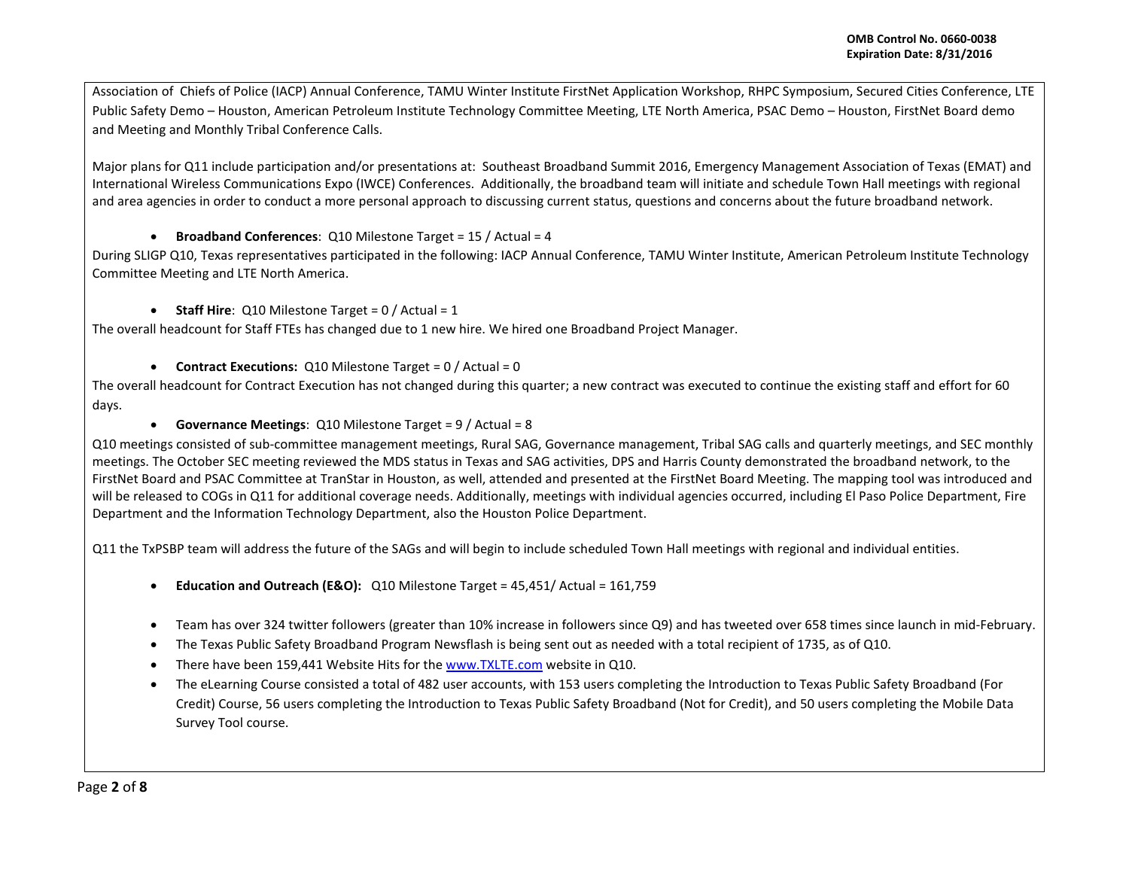Association of Chiefs of Police (IACP) Annual Conference, TAMU Winter Institute FirstNet Application Workshop, RHPC Symposium, Secured Cities Conference, LTE Public Safety Demo – Houston, American Petroleum Institute Technology Committee Meeting, LTE North America, PSAC Demo – Houston, FirstNet Board demo and Meeting and Monthly Tribal Conference Calls.

Major plans for Q11 include participation and/or presentations at: Southeast Broadband Summit 2016, Emergency Management Association of Texas (EMAT) and International Wireless Communications Expo (IWCE) Conferences. Additionally, the broadband team will initiate and schedule Town Hall meetings with regional and area agencies in order to conduct a more personal approach to discussing current status, questions and concerns about the future broadband network.

• **Broadband Conferences**: Q10 Milestone Target = 15 / Actual = 4

During SLIGP Q10, Texas representatives participated in the following: IACP Annual Conference, TAMU Winter Institute, American Petroleum Institute Technology Committee Meeting and LTE North America.

• **Staff Hire**: Q10 Milestone Target = 0 / Actual = 1

The overall headcount for Staff FTEs has changed due to 1 new hire. We hired one Broadband Project Manager.

• **Contract Executions:** Q10 Milestone Target = 0 / Actual = 0

The overall headcount for Contract Execution has not changed during this quarter; a new contract was executed to continue the existing staff and effort for 60 days.

• **Governance Meetings**: Q10 Milestone Target = 9 / Actual = 8

Q10 meetings consisted of sub-committee management meetings, Rural SAG, Governance management, Tribal SAG calls and quarterly meetings, and SEC monthly meetings. The October SEC meeting reviewed the MDS status in Texas and SAG activities, DPS and Harris County demonstrated the broadband network, to the FirstNet Board and PSAC Committee at TranStar in Houston, as well, attended and presented at the FirstNet Board Meeting. The mapping tool was introduced and will be released to COGs in Q11 for additional coverage needs. Additionally, meetings with individual agencies occurred, including El Paso Police Department, Fire Department and the Information Technology Department, also the Houston Police Department.

Q11 the TxPSBP team will address the future of the SAGs and will begin to include scheduled Town Hall meetings with regional and individual entities.

- **Education and Outreach (E&O):** Q10 Milestone Target = 45,451/ Actual = 161,759
- Team has over 324 twitter followers (greater than 10% increase in followers since Q9) and has tweeted over 658 times since launch in mid-February.
- The Texas Public Safety Broadband Program Newsflash is being sent out as needed with a total recipient of 1735, as of Q10.
- There have been 159,441 Website Hits for the [www.TXLTE.com](http://www.txlte.com/) website in Q10.
- The eLearning Course consisted a total of 482 user accounts, with 153 users completing the Introduction to Texas Public Safety Broadband (For Credit) Course, 56 users completing the Introduction to Texas Public Safety Broadband (Not for Credit), and 50 users completing the Mobile Data Survey Tool course.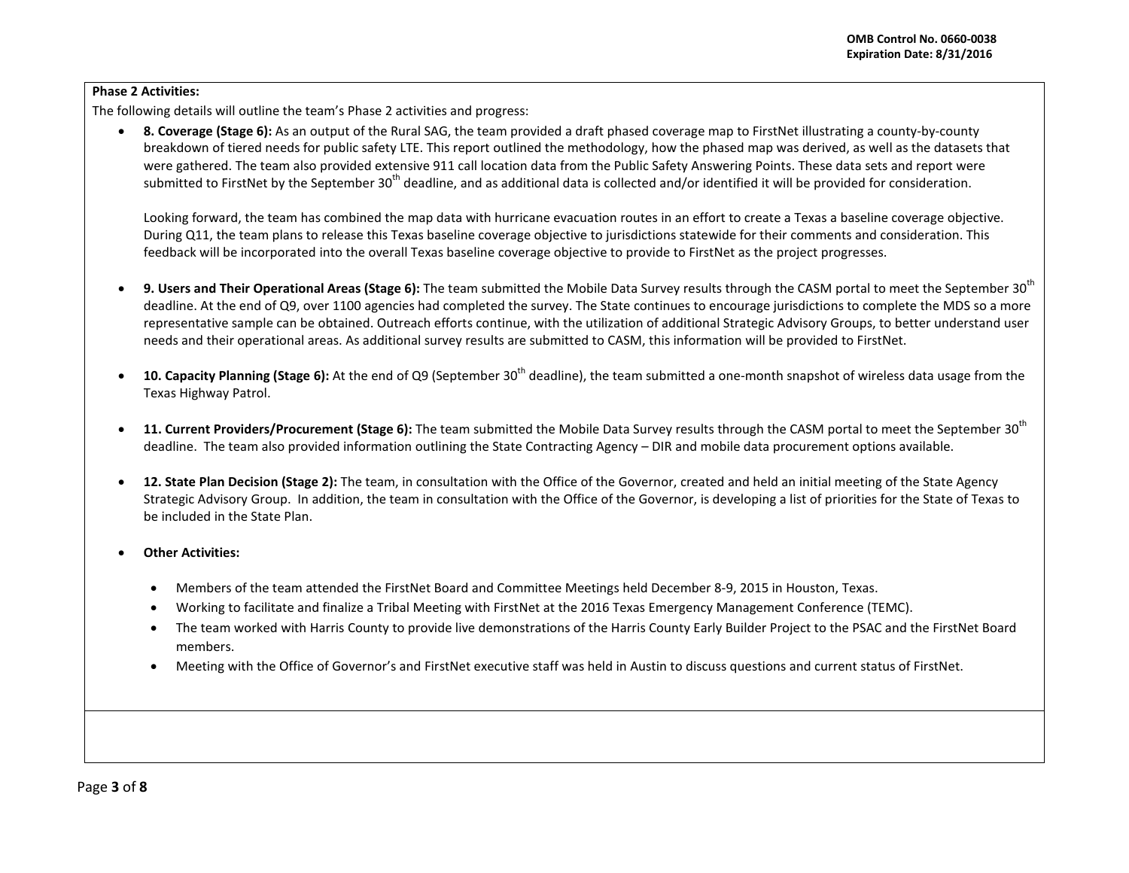# **Phase 2 Activities:**

The following details will outline the team's Phase 2 activities and progress:

• **8. Coverage (Stage 6):** As an output of the Rural SAG, the team provided a draft phased coverage map to FirstNet illustrating a county-by-county breakdown of tiered needs for public safety LTE. This report outlined the methodology, how the phased map was derived, as well as the datasets that were gathered. The team also provided extensive 911 call location data from the Public Safety Answering Points. These data sets and report were submitted to FirstNet by the September 30<sup>th</sup> deadline, and as additional data is collected and/or identified it will be provided for consideration.

Looking forward, the team has combined the map data with hurricane evacuation routes in an effort to create a Texas a baseline coverage objective. During Q11, the team plans to release this Texas baseline coverage objective to jurisdictions statewide for their comments and consideration. This feedback will be incorporated into the overall Texas baseline coverage objective to provide to FirstNet as the project progresses.

- 9. Users and Their Operational Areas (Stage 6): The team submitted the Mobile Data Survey results through the CASM portal to meet the September 30<sup>th</sup> deadline. At the end of Q9, over 1100 agencies had completed the survey. The State continues to encourage jurisdictions to complete the MDS so a more representative sample can be obtained. Outreach efforts continue, with the utilization of additional Strategic Advisory Groups, to better understand user needs and their operational areas. As additional survey results are submitted to CASM, this information will be provided to FirstNet.
- **10. Capacity Planning (Stage 6):** At the end of Q9 (September 30th deadline), the team submitted a one-month snapshot of wireless data usage from the Texas Highway Patrol.
- 11. Current Providers/Procurement (Stage 6): The team submitted the Mobile Data Survey results through the CASM portal to meet the September 30<sup>th</sup> deadline. The team also provided information outlining the State Contracting Agency – DIR and mobile data procurement options available.
- **12. State Plan Decision (Stage 2):** The team, in consultation with the Office of the Governor, created and held an initial meeting of the State Agency Strategic Advisory Group. In addition, the team in consultation with the Office of the Governor, is developing a list of priorities for the State of Texas to be included in the State Plan.
- **Other Activities:** 
	- Members of the team attended the FirstNet Board and Committee Meetings held December 8-9, 2015 in Houston, Texas.
	- Working to facilitate and finalize a Tribal Meeting with FirstNet at the 2016 Texas Emergency Management Conference (TEMC).
	- The team worked with Harris County to provide live demonstrations of the Harris County Early Builder Project to the PSAC and the FirstNet Board members.
	- Meeting with the Office of Governor's and FirstNet executive staff was held in Austin to discuss questions and current status of FirstNet.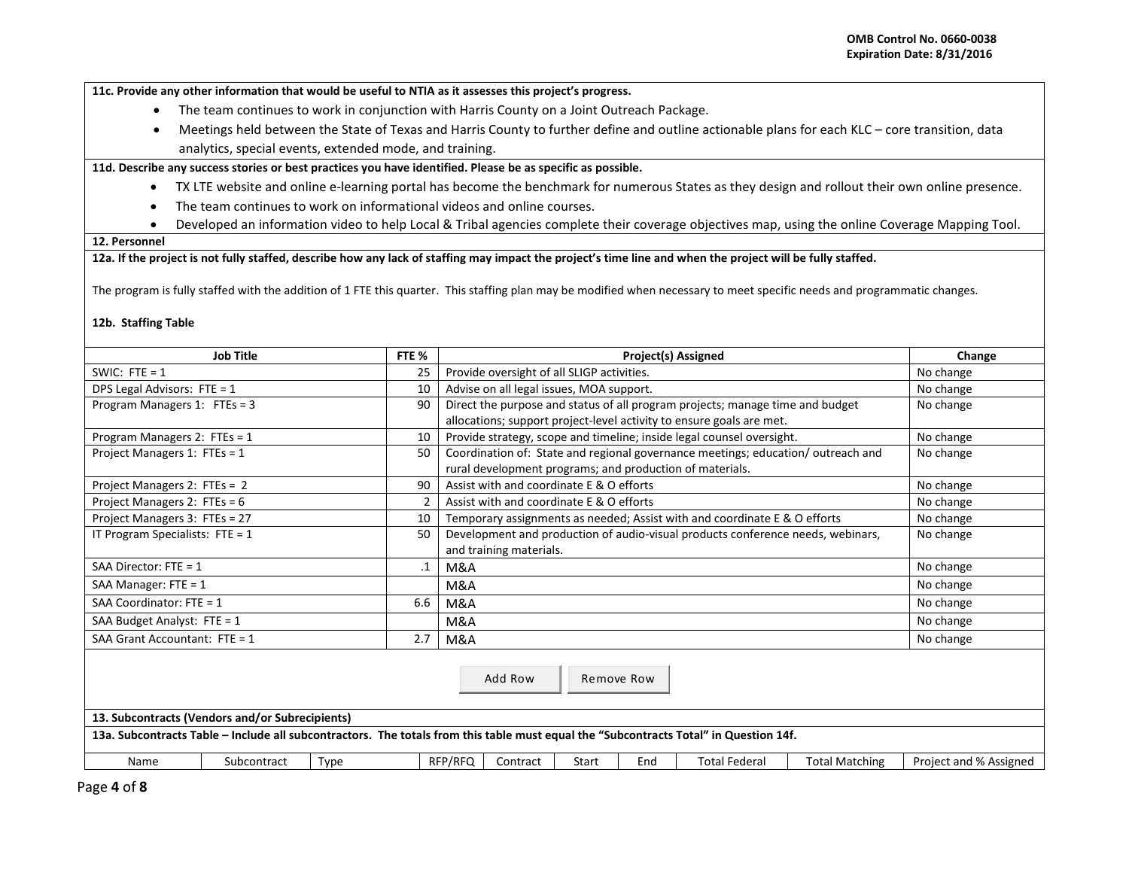**11c. Provide any other information that would be useful to NTIA as it assesses this project's progress.** 

- The team continues to work in conjunction with Harris County on a Joint Outreach Package.
- Meetings held between the State of Texas and Harris County to further define and outline actionable plans for each KLC core transition, data analytics, special events, extended mode, and training.

**11d. Describe any success stories or best practices you have identified. Please be as specific as possible.**

- TX LTE website and online e-learning portal has become the benchmark for numerous States as they design and rollout their own online presence.
- The team continues to work on informational videos and online courses.
- Developed an information video to help Local & Tribal agencies complete their coverage objectives map, using the online Coverage Mapping Tool.

### **12. Personnel**

## **12a. If the project is not fully staffed, describe how any lack of staffing may impact the project's time line and when the project will be fully staffed.**

The program is fully staffed with the addition of 1 FTE this quarter. This staffing plan may be modified when necessary to meet specific needs and programmatic changes.

### **12b. Staffing Table**

|                                                                                                                                                                                                                   | <b>Job Title</b> |      | FTE %          |         |                                                                                 |              |           | Project(s) Assigned                                                             |                       | Change                 |
|-------------------------------------------------------------------------------------------------------------------------------------------------------------------------------------------------------------------|------------------|------|----------------|---------|---------------------------------------------------------------------------------|--------------|-----------|---------------------------------------------------------------------------------|-----------------------|------------------------|
| SWIC: FTE = $1$                                                                                                                                                                                                   |                  |      | 25             |         | Provide oversight of all SLIGP activities.                                      | No change    |           |                                                                                 |                       |                        |
| DPS Legal Advisors: FTE = 1                                                                                                                                                                                       |                  |      | 10             |         | Advise on all legal issues, MOA support.                                        | No change    |           |                                                                                 |                       |                        |
| Program Managers 1: $FTEs = 3$                                                                                                                                                                                    |                  |      | 90             |         | Direct the purpose and status of all program projects; manage time and budget   | No change    |           |                                                                                 |                       |                        |
|                                                                                                                                                                                                                   |                  |      |                |         | allocations; support project-level activity to ensure goals are met.            |              |           |                                                                                 |                       |                        |
| Program Managers 2: FTEs = 1                                                                                                                                                                                      |                  |      | 10             |         |                                                                                 |              |           | Provide strategy, scope and timeline; inside legal counsel oversight.           |                       | No change              |
| Project Managers 1: FTEs = 1                                                                                                                                                                                      |                  |      | 50             |         |                                                                                 |              |           | Coordination of: State and regional governance meetings; education/outreach and |                       | No change              |
|                                                                                                                                                                                                                   |                  |      |                |         | rural development programs; and production of materials.                        |              |           |                                                                                 |                       |                        |
| Project Managers 2: FTEs = 2                                                                                                                                                                                      |                  |      | 90             |         | Assist with and coordinate E & O efforts                                        |              |           |                                                                                 |                       | No change              |
| Project Managers 2: FTEs = $6$                                                                                                                                                                                    |                  |      | $\overline{2}$ |         | Assist with and coordinate E & O efforts                                        |              |           |                                                                                 |                       | No change              |
| Project Managers 3: FTEs = 27                                                                                                                                                                                     |                  |      | 10             |         |                                                                                 |              |           | Temporary assignments as needed; Assist with and coordinate E & O efforts       |                       | No change              |
| IT Program Specialists: $FTE = 1$                                                                                                                                                                                 |                  |      | 50             |         | Development and production of audio-visual products conference needs, webinars, | No change    |           |                                                                                 |                       |                        |
|                                                                                                                                                                                                                   |                  |      |                |         | and training materials.                                                         |              |           |                                                                                 |                       |                        |
| SAA Director: $FTE = 1$                                                                                                                                                                                           |                  |      | .1             | M&A     |                                                                                 |              |           |                                                                                 |                       | No change              |
| SAA Manager: $FTE = 1$                                                                                                                                                                                            |                  |      |                | M&A     |                                                                                 |              |           |                                                                                 |                       | No change              |
| SAA Coordinator: $FTE = 1$                                                                                                                                                                                        |                  |      | 6.6            | M&A     |                                                                                 |              | No change |                                                                                 |                       |                        |
| SAA Budget Analyst: FTE = 1                                                                                                                                                                                       |                  |      |                | M&A     |                                                                                 |              | No change |                                                                                 |                       |                        |
| SAA Grant Accountant: FTE = 1                                                                                                                                                                                     |                  |      | 2.7            | M&A     |                                                                                 |              |           |                                                                                 |                       | No change              |
| Add Row<br>Remove Row<br>13. Subcontracts (Vendors and/or Subrecipients)<br>13a. Subcontracts Table - Include all subcontractors. The totals from this table must equal the "Subcontracts Total" in Question 14f. |                  |      |                |         |                                                                                 |              |           |                                                                                 |                       |                        |
| Name                                                                                                                                                                                                              | Subcontract      | Type |                | RFP/RFQ | Contract                                                                        | <b>Start</b> | End       | <b>Total Federal</b>                                                            | <b>Total Matching</b> | Project and % Assigned |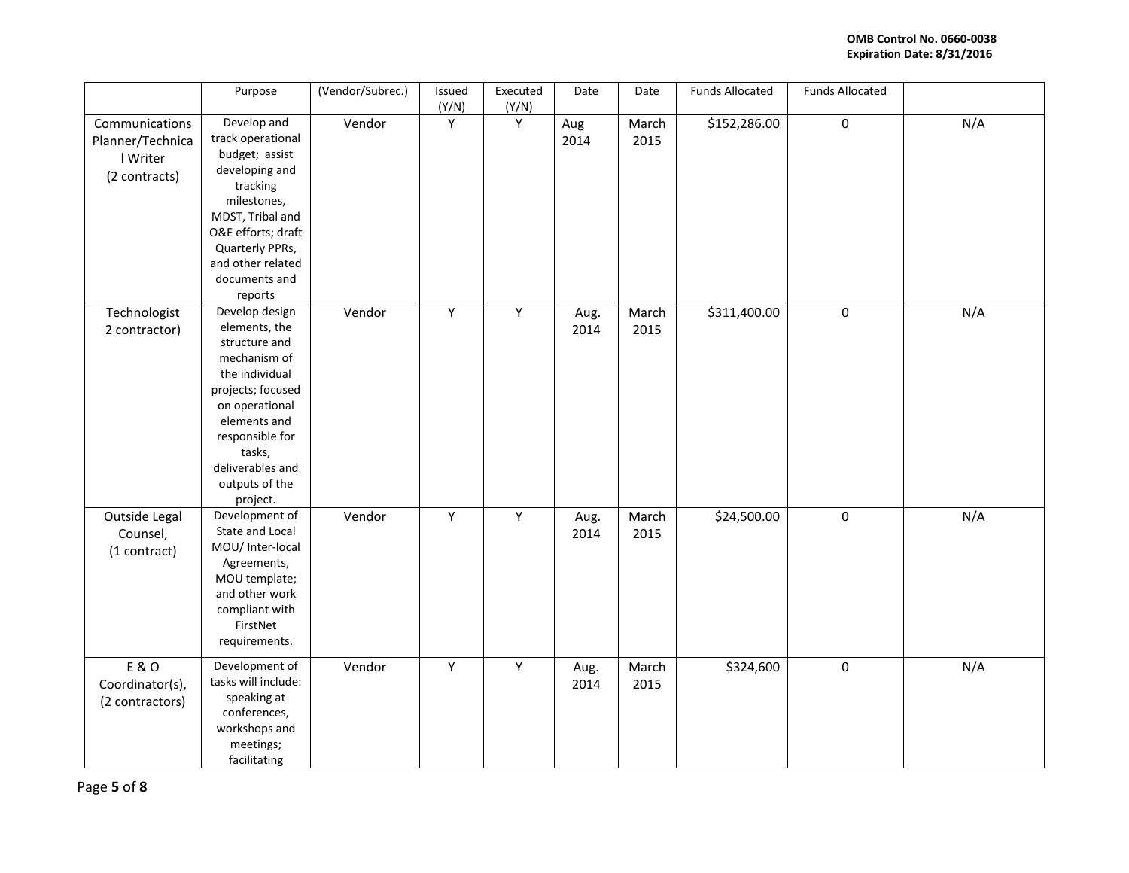|                                                                 | Purpose                                                                                                                                                                                                                  | (Vendor/Subrec.) | Issued<br>(Y/N) | Executed<br>(Y/N) | Date         | Date          | <b>Funds Allocated</b> | <b>Funds Allocated</b> |     |
|-----------------------------------------------------------------|--------------------------------------------------------------------------------------------------------------------------------------------------------------------------------------------------------------------------|------------------|-----------------|-------------------|--------------|---------------|------------------------|------------------------|-----|
| Communications<br>Planner/Technica<br>I Writer<br>(2 contracts) | Develop and<br>track operational<br>budget; assist<br>developing and<br>tracking<br>milestones,<br>MDST, Tribal and<br>O&E efforts; draft<br>Quarterly PPRs,<br>and other related<br>documents and<br>reports            | Vendor           | Y               | Y                 | Aug<br>2014  | March<br>2015 | \$152,286.00           | $\pmb{0}$              | N/A |
| Technologist<br>2 contractor)                                   | Develop design<br>elements, the<br>structure and<br>mechanism of<br>the individual<br>projects; focused<br>on operational<br>elements and<br>responsible for<br>tasks,<br>deliverables and<br>outputs of the<br>project. | Vendor           | Y               | Y                 | Aug.<br>2014 | March<br>2015 | \$311,400.00           | $\pmb{0}$              | N/A |
| Outside Legal<br>Counsel,<br>(1 contract)                       | Development of<br>State and Local<br>MOU/ Inter-local<br>Agreements,<br>MOU template;<br>and other work<br>compliant with<br>FirstNet<br>requirements.                                                                   | Vendor           | $\mathsf Y$     | $\mathsf{Y}$      | Aug.<br>2014 | March<br>2015 | \$24,500.00            | $\pmb{0}$              | N/A |
| E & O<br>Coordinator(s),<br>(2 contractors)                     | Development of<br>tasks will include:<br>speaking at<br>conferences,<br>workshops and<br>meetings;<br>facilitating                                                                                                       | Vendor           | Y               | Y                 | Aug.<br>2014 | March<br>2015 | \$324,600              | $\pmb{0}$              | N/A |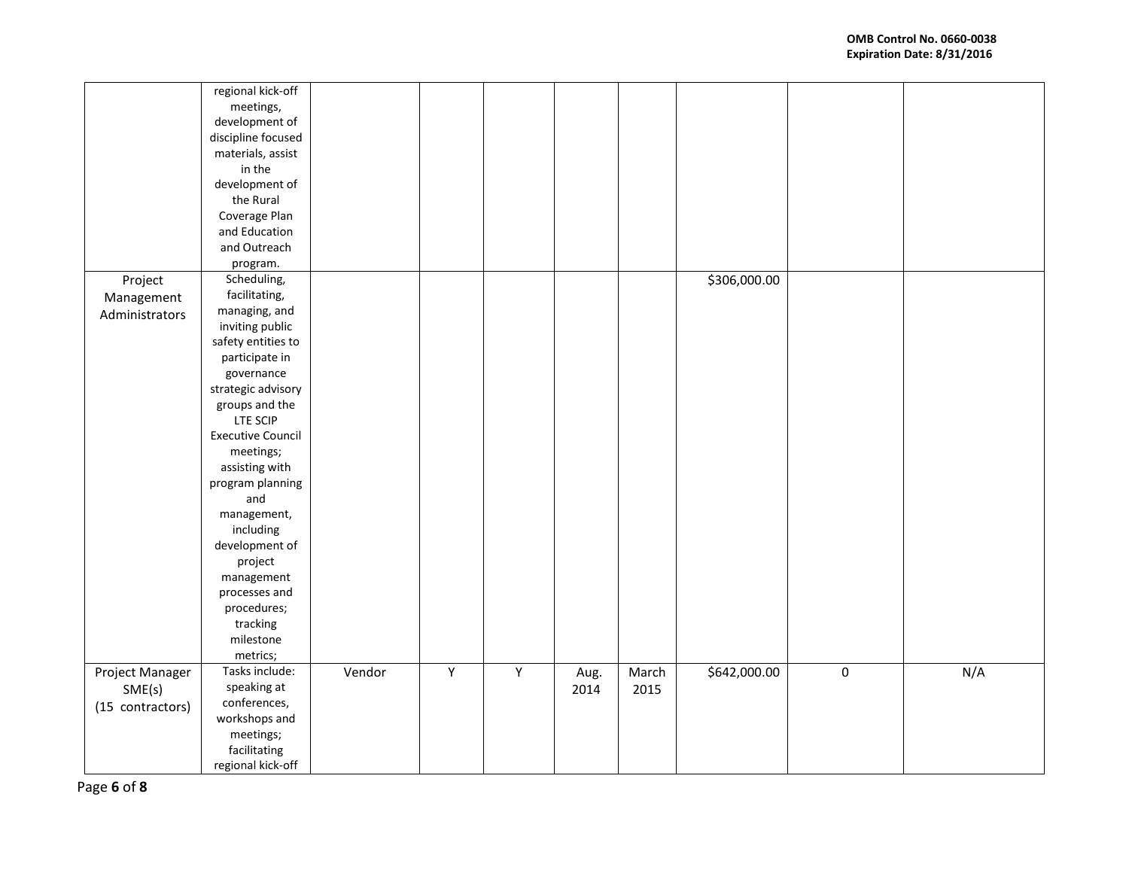|                  | regional kick-off        |        |             |   |      |       |              |             |     |
|------------------|--------------------------|--------|-------------|---|------|-------|--------------|-------------|-----|
|                  | meetings,                |        |             |   |      |       |              |             |     |
|                  | development of           |        |             |   |      |       |              |             |     |
|                  | discipline focused       |        |             |   |      |       |              |             |     |
|                  | materials, assist        |        |             |   |      |       |              |             |     |
|                  | in the                   |        |             |   |      |       |              |             |     |
|                  | development of           |        |             |   |      |       |              |             |     |
|                  | the Rural                |        |             |   |      |       |              |             |     |
|                  | Coverage Plan            |        |             |   |      |       |              |             |     |
|                  | and Education            |        |             |   |      |       |              |             |     |
|                  | and Outreach             |        |             |   |      |       |              |             |     |
|                  | program.                 |        |             |   |      |       |              |             |     |
| Project          | Scheduling,              |        |             |   |      |       | \$306,000.00 |             |     |
|                  | facilitating,            |        |             |   |      |       |              |             |     |
| Management       | managing, and            |        |             |   |      |       |              |             |     |
| Administrators   | inviting public          |        |             |   |      |       |              |             |     |
|                  | safety entities to       |        |             |   |      |       |              |             |     |
|                  | participate in           |        |             |   |      |       |              |             |     |
|                  | governance               |        |             |   |      |       |              |             |     |
|                  |                          |        |             |   |      |       |              |             |     |
|                  | strategic advisory       |        |             |   |      |       |              |             |     |
|                  | groups and the           |        |             |   |      |       |              |             |     |
|                  | LTE SCIP                 |        |             |   |      |       |              |             |     |
|                  | <b>Executive Council</b> |        |             |   |      |       |              |             |     |
|                  | meetings;                |        |             |   |      |       |              |             |     |
|                  | assisting with           |        |             |   |      |       |              |             |     |
|                  | program planning         |        |             |   |      |       |              |             |     |
|                  | and                      |        |             |   |      |       |              |             |     |
|                  | management,              |        |             |   |      |       |              |             |     |
|                  | including                |        |             |   |      |       |              |             |     |
|                  | development of           |        |             |   |      |       |              |             |     |
|                  | project                  |        |             |   |      |       |              |             |     |
|                  | management               |        |             |   |      |       |              |             |     |
|                  | processes and            |        |             |   |      |       |              |             |     |
|                  | procedures;              |        |             |   |      |       |              |             |     |
|                  | tracking                 |        |             |   |      |       |              |             |     |
|                  | milestone                |        |             |   |      |       |              |             |     |
|                  | metrics;                 |        |             |   |      |       |              |             |     |
| Project Manager  | Tasks include:           | Vendor | $\mathsf Y$ | Υ | Aug. | March | \$642,000.00 | $\mathbf 0$ | N/A |
| SME(s)           | speaking at              |        |             |   | 2014 | 2015  |              |             |     |
|                  | conferences,             |        |             |   |      |       |              |             |     |
| (15 contractors) | workshops and            |        |             |   |      |       |              |             |     |
|                  | meetings;                |        |             |   |      |       |              |             |     |
|                  | facilitating             |        |             |   |      |       |              |             |     |
|                  | regional kick-off        |        |             |   |      |       |              |             |     |
|                  |                          |        |             |   |      |       |              |             |     |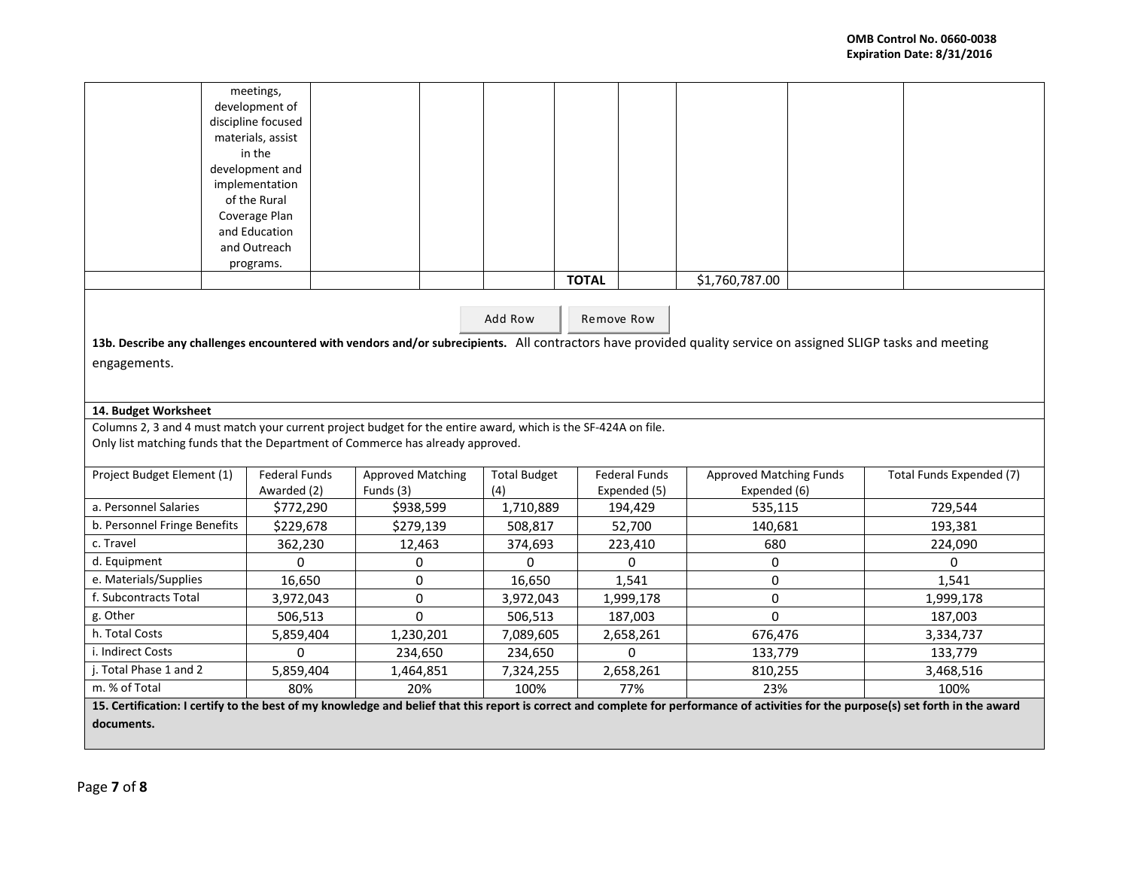|                                                                                                                                                                                                        | meetings,<br>development of<br>discipline focused<br>materials, assist<br>in the<br>development and<br>implementation<br>of the Rural<br>Coverage Plan<br>and Education<br>and Outreach |                                       |                            |              |                                      |                                                |  |                          |
|--------------------------------------------------------------------------------------------------------------------------------------------------------------------------------------------------------|-----------------------------------------------------------------------------------------------------------------------------------------------------------------------------------------|---------------------------------------|----------------------------|--------------|--------------------------------------|------------------------------------------------|--|--------------------------|
|                                                                                                                                                                                                        | programs.                                                                                                                                                                               |                                       |                            |              |                                      |                                                |  |                          |
|                                                                                                                                                                                                        |                                                                                                                                                                                         |                                       |                            | <b>TOTAL</b> |                                      | \$1,760,787.00                                 |  |                          |
| Add Row<br>Remove Row<br>13b. Describe any challenges encountered with vendors and/or subrecipients. All contractors have provided quality service on assigned SLIGP tasks and meeting<br>engagements. |                                                                                                                                                                                         |                                       |                            |              |                                      |                                                |  |                          |
|                                                                                                                                                                                                        |                                                                                                                                                                                         |                                       |                            |              |                                      |                                                |  |                          |
| 14. Budget Worksheet                                                                                                                                                                                   |                                                                                                                                                                                         |                                       |                            |              |                                      |                                                |  |                          |
|                                                                                                                                                                                                        |                                                                                                                                                                                         |                                       |                            |              |                                      |                                                |  |                          |
| Columns 2, 3 and 4 must match your current project budget for the entire award, which is the SF-424A on file.<br>Only list matching funds that the Department of Commerce has already approved.        |                                                                                                                                                                                         |                                       |                            |              |                                      |                                                |  |                          |
| Project Budget Element (1)                                                                                                                                                                             | <b>Federal Funds</b><br>Awarded (2)                                                                                                                                                     | <b>Approved Matching</b><br>Funds (3) | <b>Total Budget</b><br>(4) |              | <b>Federal Funds</b><br>Expended (5) | <b>Approved Matching Funds</b><br>Expended (6) |  | Total Funds Expended (7) |
| a. Personnel Salaries                                                                                                                                                                                  | \$772,290                                                                                                                                                                               |                                       | \$938,599                  | 1,710,889    | 194,429                              | 535,115                                        |  | 729,544                  |
| b. Personnel Fringe Benefits                                                                                                                                                                           | \$229,678                                                                                                                                                                               |                                       | \$279,139                  | 508,817      | 52,700                               | 140,681                                        |  | 193,381                  |
| c. Travel                                                                                                                                                                                              | 362,230                                                                                                                                                                                 |                                       | 12,463                     | 374,693      | 223,410                              | 680                                            |  | 224,090                  |
| d. Equipment                                                                                                                                                                                           | $\Omega$                                                                                                                                                                                |                                       | 0                          | $\Omega$     | $\Omega$                             | 0                                              |  | $\Omega$                 |
| e. Materials/Supplies                                                                                                                                                                                  | 16,650                                                                                                                                                                                  |                                       | 0                          | 16,650       | 1,541                                | $\pmb{0}$                                      |  | 1,541                    |
| f. Subcontracts Total                                                                                                                                                                                  | 3,972,043                                                                                                                                                                               |                                       | 0                          | 3,972,043    | 1,999,178                            | 0                                              |  | 1,999,178                |
| g. Other                                                                                                                                                                                               | 506,513                                                                                                                                                                                 |                                       | $\Omega$                   | 506,513      | 187,003                              | $\Omega$                                       |  | 187,003                  |
| h. Total Costs                                                                                                                                                                                         | 5,859,404                                                                                                                                                                               |                                       | 1,230,201                  | 7,089,605    | 2,658,261                            | 676,476                                        |  | 3,334,737                |
| i. Indirect Costs                                                                                                                                                                                      | $\Omega$                                                                                                                                                                                |                                       | 234,650                    | 234,650      | $\Omega$                             | 133,779                                        |  | 133,779                  |
| j. Total Phase 1 and 2                                                                                                                                                                                 | 5,859,404                                                                                                                                                                               |                                       | 1,464,851                  | 7,324,255    | 2,658,261                            | 810,255                                        |  | 3,468,516                |
| m. % of Total                                                                                                                                                                                          | 80%                                                                                                                                                                                     |                                       | 20%                        | 100%         | 77%                                  | 23%                                            |  | 100%                     |
| 15. Certification: I certify to the best of my knowledge and belief that this report is correct and complete for performance of activities for the purpose(s) set forth in the award                   |                                                                                                                                                                                         |                                       |                            |              |                                      |                                                |  |                          |
| documents.                                                                                                                                                                                             |                                                                                                                                                                                         |                                       |                            |              |                                      |                                                |  |                          |